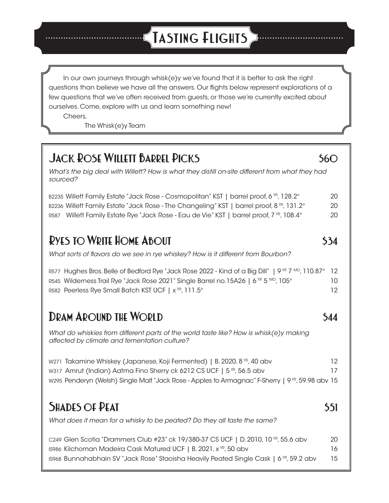# **Tasting Flights**

In our own journeys through whisk(e)y we've found that it is better to ask the right questions than believe we have all the answers. Our flights below represent explorations of a few questions that we've often received from guests, or those we're currently excited about ourselves. Come, explore with us and learn something new!

Cheers,

The Whisk(e)y Team

# **JACK ROSE WILLETT BARREL PICKS** \$60

*What's the big deal with Willett? How is what they distill on-site different from what they had sourced?*

B2235 Willett Family Estate "Jack Rose - Cosmopolitan" KST | barrel proof, 6 YR, 128.2° 20 B2236 Willett Family Estate "Jack Rose - The Changeling" KST | barrel proof, 8 YR, 131.2° 20 R587 Willett Family Estate Rye "Jack Rose - Eau de Vie" KST | barrel proof, 7 YR, 108.4° 20

# **RYES TO WRITE HOME ABOUT** \$34

*What sorts of flavors do we see in rye whiskey? How is it different from Bourbon?*

| R577 Hughes Bros. Belle of Bedford Rye "Jack Rose 2022 - Kind of a Big Dill"   9 NR 7 Mo, 110.87° 12 |     |
|------------------------------------------------------------------------------------------------------|-----|
| R545 Wilderness Trail Rye "Jack Rose 2021" Single Barrel no.15A26   6 YR 5 MO, 105°                  | 10. |
| R582 Peerless Rye Small Batch KST UCF   x <sup>yR</sup> , 111.5°                                     | 12  |

# **DRAM AROUND THE WORLD \$44**

*What do whiskies from different parts of the world taste like? How is whisk(e)y making affected by climate and fementation culture?*

| W271 Takamine Whiskey (Japanese, Koji Fermented)   B. 2020, 8 YR, 40 abv                                     | 12. |
|--------------------------------------------------------------------------------------------------------------|-----|
| w317 Amrut (Indian) Aatma Fino Sherry ck 6212 CS UCF   5 <sup>YP</sup> , 56.5 abv                            | 17  |
| w295 Penderyn (Welsh) Single Malt "Jack Rose - Apples to Armagnac" F-Sherry   9 <sup>YR</sup> , 59.98 abv 15 |     |

# **SHADES OF PEAT** \$51

*What does it mean for a whisky to be peated? Do they all taste the same?*

| c249 Glen Scotia "Drammers Club #23" ck 19/380-37 CS UCF   D. 2010, 10 $\%$ , 55.6 abv             | 20   |
|----------------------------------------------------------------------------------------------------|------|
| IS986 Kilchoman Madeira Cask Matured UCF   B. 2021, x <sup>YR</sup> , 50 abv                       | 16   |
| IS968 Bunnahabhain SV "Jack Rose" Staoisha Heavily Peated Single Cask   6 <sup>yr</sup> , 59.2 abv | - 15 |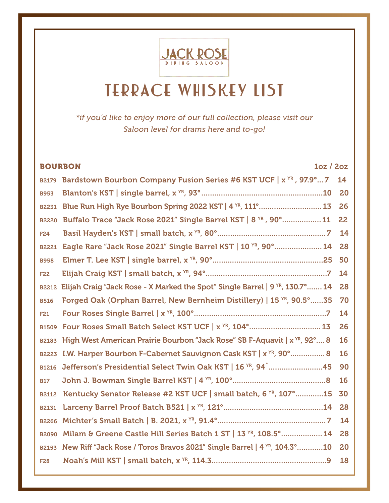

# **TERRACE WHISKEY LIST**

*\*if you'd like to enjoy more of our full collection, please visit our Saloon level for drams here and to-go!*

|              | <b>BOURBON</b><br>1oz / 2oz                                                               |    |
|--------------|-------------------------------------------------------------------------------------------|----|
| <b>B2179</b> | Bardstown Bourbon Company Fusion Series #6 KST UCF   x YR, 97.9° 7                        | 14 |
| <b>B953</b>  |                                                                                           | 20 |
| <b>B2231</b> | Blue Run High Rye Bourbon Spring 2022 KST   4 YR, 111°  13                                | 26 |
| <b>B2220</b> | Buffalo Trace "Jack Rose 2021" Single Barrel KST   8 YR, 90°  11                          | 22 |
| <b>F24</b>   |                                                                                           | 14 |
| <b>B2221</b> | Eagle Rare "Jack Rose 2021" Single Barrel KST   10 YR, 90°  14                            | 28 |
| <b>B958</b>  |                                                                                           | 50 |
| <b>F22</b>   |                                                                                           | 14 |
| <b>B2212</b> | Elijah Craig "Jack Rose - X Marked the Spot" Single Barrel   9 <sup>YR</sup> , 130.7°  14 | 28 |
| <b>B516</b>  | Forged Oak (Orphan Barrel, New Bernheim Distillery)   15 YR, 90.5°  35                    | 70 |
| <b>F21</b>   |                                                                                           | 14 |
| <b>B1509</b> | Four Roses Small Batch Select KST UCF   x YR, 104°  13                                    | 26 |
| <b>B2183</b> | High West American Prairie Bourbon "Jack Rose" SB F-Aquavit   x <sup>YR</sup> , 92° 8     | 16 |
| <b>B2223</b> | I.W. Harper Bourbon F-Cabernet Sauvignon Cask KST   x <sup>YR</sup> , 90° 8               | 16 |
| <b>B1216</b> | Jefferson's Presidential Select Twin Oak KST   16 YR, 94 45                               | 90 |
| <b>B17</b>   |                                                                                           | 16 |
| <b>B2112</b> | Kentucky Senator Release #2 KST UCF   small batch, 6 YR, 107° 15                          | 30 |
| <b>B2131</b> |                                                                                           | 28 |
| <b>B2266</b> |                                                                                           | 14 |
| <b>B2090</b> | Milam & Greene Castle Hill Series Batch 1 ST   13 YR, 108.5°  14                          | 28 |
| <b>B2153</b> | New Riff "Jack Rose / Toros Bravos 2021" Single Barrel   4 <sup>xR</sup> , 104.3° 10      | 20 |
| <b>F28</b>   |                                                                                           | 18 |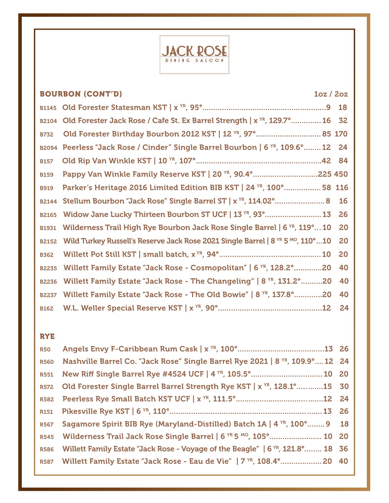

|              | <b>BOURBON (CONT'D)</b><br>10z / 20z                                                                  |           |
|--------------|-------------------------------------------------------------------------------------------------------|-----------|
|              |                                                                                                       |           |
| <b>B2104</b> | Old Forester Jack Rose / Cafe St. Ex Barrel Strength   x <sup>YR</sup> , 129.7° 16 32                 |           |
| <b>B732</b>  | Old Forester Birthday Bourbon 2012 KST   12 YR, 97°  85 170                                           |           |
| <b>B2094</b> | Peerless "Jack Rose / Cinder" Single Barrel Bourbon   6 <sup>xR</sup> , 109.6° 12 24                  |           |
| <b>B157</b>  |                                                                                                       |           |
| <b>B159</b>  | Pappy Van Winkle Family Reserve KST   20 YR, 90.4° 225 450                                            |           |
| <b>B919</b>  | Parker's Heritage 2016 Limited Edition BIB KST   24 YR, 100°  58 116                                  |           |
| <b>B2144</b> |                                                                                                       | <b>16</b> |
| <b>B2165</b> | Widow Jane Lucky Thirteen Bourbon ST UCF   13 YR, 93°  13                                             | 26        |
| <b>B1931</b> | Wilderness Trail High Rye Bourbon Jack Rose Single Barrel   6 <sup>YR</sup> , 119°10                  | 20        |
| <b>B2152</b> | Wild Turkey Russell's Reserve Jack Rose 2021 Single Barrel   8 <sup>YR</sup> 5 <sup>MO</sup> , 110°10 | 20        |
| <b>B362</b>  |                                                                                                       | 20        |
| <b>B2235</b> | Willett Family Estate "Jack Rose - Cosmopolitan"   6 <sup>xR</sup> , 128.2°20                         | 40        |
| <b>B2236</b> | Willett Family Estate "Jack Rose - The Changeling"   8 <sup>YR</sup> , 131.2°20                       | 40        |
| <b>B2237</b> | Willett Family Estate "Jack Rose - The Old Bowie"   8 YR, 137.8° 20                                   | 40        |
| <b>B162</b>  |                                                                                                       | 24        |

#### RYE

| <b>R50</b>  |                                                                                            |  |
|-------------|--------------------------------------------------------------------------------------------|--|
| <b>R560</b> | Nashville Barrel Co. "Jack Rose" Single Barrel Rye 2021   8 YR, 109.9° 12 24               |  |
| <b>R551</b> | New Riff Single Barrel Rye #4524 UCF   4 YR, 105.5°  10 20                                 |  |
|             | R572 Old Forester Single Barrel Barrel Strength Rye KST   x <sup>YR</sup> , 128.1° 15 30   |  |
| <b>R582</b> |                                                                                            |  |
|             |                                                                                            |  |
| <b>R567</b> | Sagamore Spirit BIB Rye (Maryland-Distilled) Batch 1A   4 <sup>YR</sup> , 100°  9 18       |  |
| <b>R545</b> | Wilderness Trail Jack Rose Single Barrel   6 <sup>YR</sup> 5 <sup>MO</sup> , 105° 10 20    |  |
| <b>R586</b> | Willett Family Estate "Jack Rose - Voyage of the Beagle"   6 <sup>YR</sup> , 121.8°  18 36 |  |
|             | R587 Willett Family Estate "Jack Rose - Eau de Vie"   7 TR, 108.4°  20 40                  |  |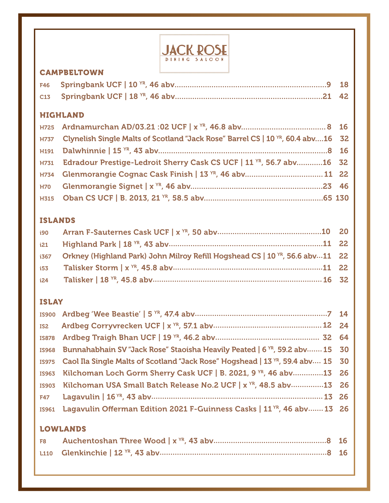

### CAMPBELTOWN

#### HIGHLAND

| H737 Clynelish Single Malts of Scotland "Jack Rose" Barrel CS   10 YR, 60.4 abv16 32 |  |
|--------------------------------------------------------------------------------------|--|
|                                                                                      |  |
| H731 Edradour Prestige-Ledroit Sherry Cask CS UCF   11 YR, 56.7 abv16 32             |  |
| H734 Glenmorangie Cognac Cask Finish   13 YR, 46 abv 11 22                           |  |
|                                                                                      |  |
|                                                                                      |  |

## ISLANDS

| i21 |                                                                                               |  |
|-----|-----------------------------------------------------------------------------------------------|--|
|     | i367 Orkney (Highland Park) John Milroy Refill Hogshead CS   10 <sup>YR</sup> , 56.6 abv11 22 |  |
|     |                                                                                               |  |
|     |                                                                                               |  |

# ISLAY

| IS968 Bunnahabhain SV "Jack Rose" Staoisha Heavily Peated   6 <sup>YR</sup> , 59.2 abv 15 30     |  |
|--------------------------------------------------------------------------------------------------|--|
| IS975 Caol Ila Single Malts of Scotland "Jack Rose" Hogshead   13 <sup>YR</sup> , 59.4 abv 15 30 |  |
| IS963 Kilchoman Loch Gorm Sherry Cask UCF   B. 2021, 9 YR, 46 aby13 26                           |  |
| IS903 Kilchoman USA Small Batch Release No.2 UCF   x <sup>YR</sup> , 48.5 abv13 26               |  |
|                                                                                                  |  |
| IS961 Lagavulin Offerman Edition 2021 F-Guinness Casks   11 <sup>YR</sup> , 46 abv 13 26         |  |

## LOWLANDS